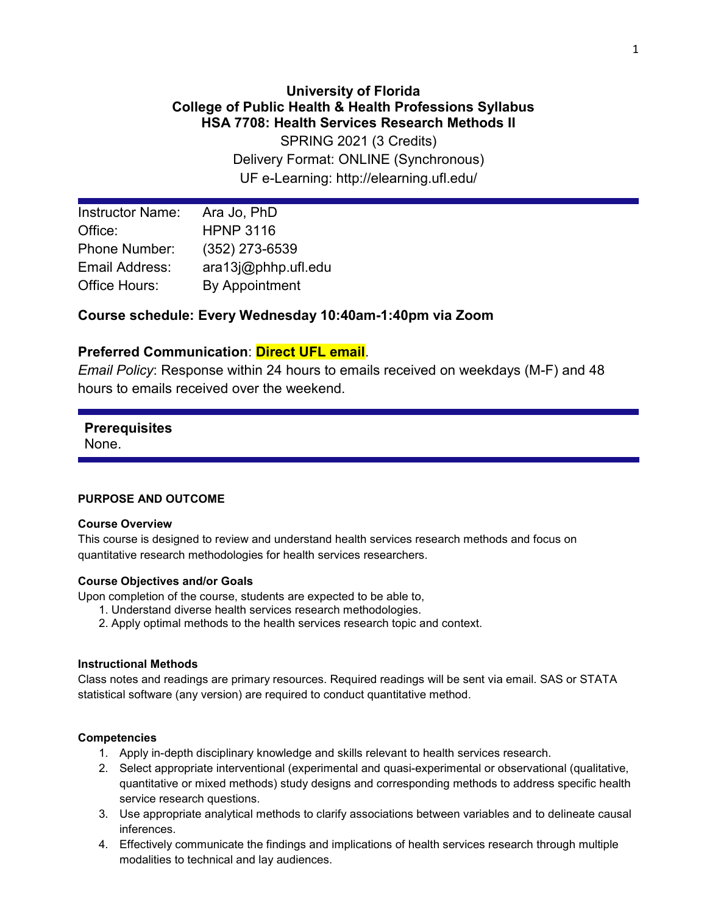# **University of Florida College of Public Health & Health Professions Syllabus HSA 7708: Health Services Research Methods II**

SPRING 2021 (3 Credits) Delivery Format: ONLINE (Synchronous) UF e-Learning: http://elearning.ufl.edu/

| Ara Jo, PhD         |
|---------------------|
| <b>HPNP 3116</b>    |
| (352) 273-6539      |
| ara13j@phhp.ufl.edu |
| By Appointment      |
|                     |

## **Course schedule: Every Wednesday 10:40am-1:40pm via Zoom**

## **Preferred Communication**: **Direct UFL email**.

*Email Policy*: Response within 24 hours to emails received on weekdays (M-F) and 48 hours to emails received over the weekend.

# **Prerequisites**

None.

## **PURPOSE AND OUTCOME**

#### **Course Overview**

This course is designed to review and understand health services research methods and focus on quantitative research methodologies for health services researchers.

#### **Course Objectives and/or Goals**

Upon completion of the course, students are expected to be able to,

- 1. Understand diverse health services research methodologies.
- 2. Apply optimal methods to the health services research topic and context.

#### **Instructional Methods**

Class notes and readings are primary resources. Required readings will be sent via email. SAS or STATA statistical software (any version) are required to conduct quantitative method.

#### **Competencies**

- 1. Apply in-depth disciplinary knowledge and skills relevant to health services research.
- 2. Select appropriate interventional (experimental and quasi-experimental or observational (qualitative, quantitative or mixed methods) study designs and corresponding methods to address specific health service research questions.
- 3. Use appropriate analytical methods to clarify associations between variables and to delineate causal inferences.
- 4. Effectively communicate the findings and implications of health services research through multiple modalities to technical and lay audiences.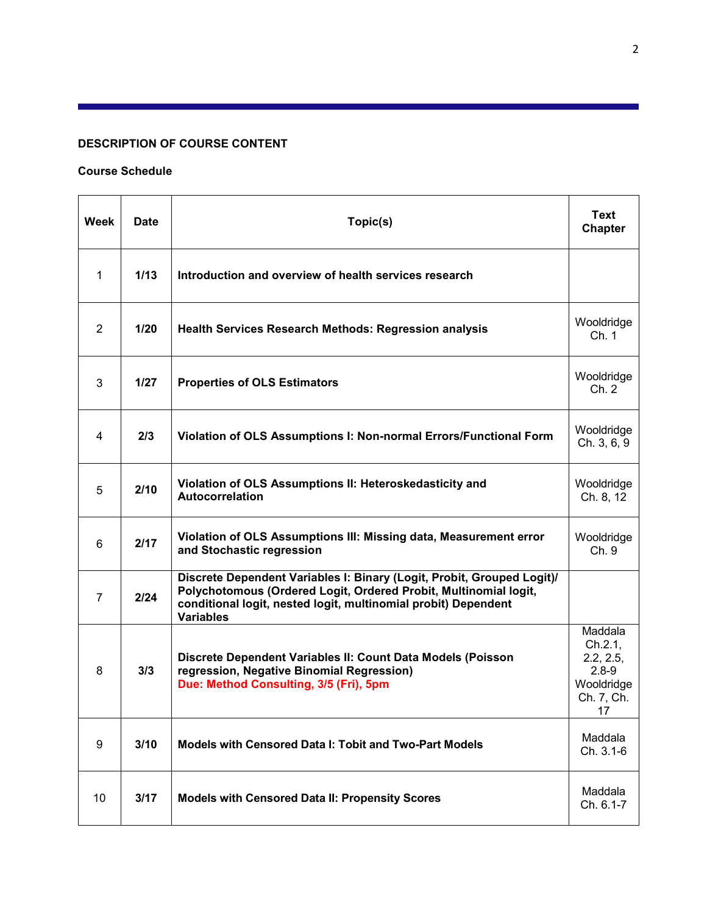# **DESCRIPTION OF COURSE CONTENT**

# **Course Schedule**

| Week           | <b>Date</b> | Topic(s)                                                                                                                                                                                                                         |                                                                                |
|----------------|-------------|----------------------------------------------------------------------------------------------------------------------------------------------------------------------------------------------------------------------------------|--------------------------------------------------------------------------------|
| $\mathbf{1}$   | 1/13        | Introduction and overview of health services research                                                                                                                                                                            |                                                                                |
| 2              | 1/20        | <b>Health Services Research Methods: Regression analysis</b>                                                                                                                                                                     | Wooldridge<br>Ch. 1                                                            |
| 3              | 1/27        | <b>Properties of OLS Estimators</b>                                                                                                                                                                                              | Wooldridge<br>Ch. 2                                                            |
| 4              | 2/3         | Violation of OLS Assumptions I: Non-normal Errors/Functional Form                                                                                                                                                                | Wooldridge<br>Ch. 3, 6, 9                                                      |
| 5              | 2/10        | Violation of OLS Assumptions II: Heteroskedasticity and<br><b>Autocorrelation</b>                                                                                                                                                | Wooldridge<br>Ch. 8, 12                                                        |
| 6              | 2/17        | Violation of OLS Assumptions III: Missing data, Measurement error<br>and Stochastic regression                                                                                                                                   |                                                                                |
| $\overline{7}$ | 2/24        | Discrete Dependent Variables I: Binary (Logit, Probit, Grouped Logit)/<br>Polychotomous (Ordered Logit, Ordered Probit, Multinomial logit,<br>conditional logit, nested logit, multinomial probit) Dependent<br><b>Variables</b> |                                                                                |
| 8              | 3/3         | Discrete Dependent Variables II: Count Data Models (Poisson<br>regression, Negative Binomial Regression)<br>Due: Method Consulting, 3/5 (Fri), 5pm                                                                               | Maddala<br>Ch.2.1,<br>2.2, 2.5,<br>$2.8 - 9$<br>Wooldridge<br>Ch. 7, Ch.<br>17 |
| 9              | 3/10        | Models with Censored Data I: Tobit and Two-Part Models                                                                                                                                                                           |                                                                                |
| 10             | 3/17        | <b>Models with Censored Data II: Propensity Scores</b>                                                                                                                                                                           | Maddala<br>Ch. 6.1-7                                                           |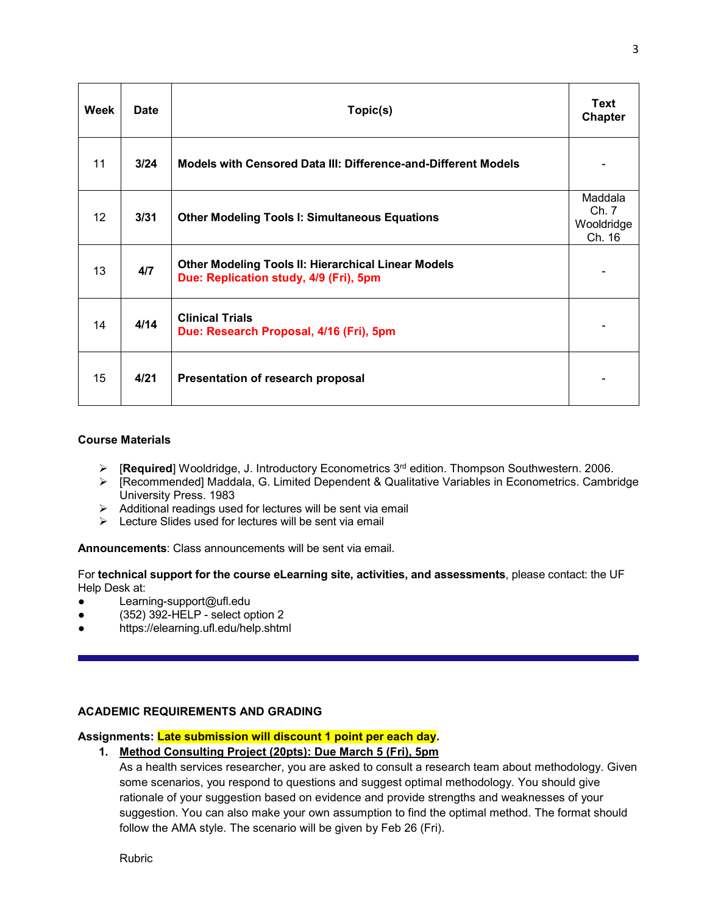| Week | <b>Date</b> | Topic(s)                                                                                             | <b>Text</b><br>Chapter                   |
|------|-------------|------------------------------------------------------------------------------------------------------|------------------------------------------|
| 11   | 3/24        | <b>Models with Censored Data III: Difference-and-Different Models</b>                                |                                          |
| 12   | 3/31        | <b>Other Modeling Tools I: Simultaneous Equations</b>                                                | Maddala<br>Ch. 7<br>Wooldridge<br>Ch. 16 |
| 13   | 4/7         | <b>Other Modeling Tools II: Hierarchical Linear Models</b><br>Due: Replication study, 4/9 (Fri), 5pm |                                          |
| 14   | 4/14        | <b>Clinical Trials</b><br>Due: Research Proposal, 4/16 (Fri), 5pm                                    |                                          |
| 15   | 4/21        | Presentation of research proposal                                                                    |                                          |

### **Course Materials**

- [**Required**] Wooldridge, J. Introductory Econometrics 3rd edition. Thompson Southwestern. 2006.
- [Recommended] Maddala, G. Limited Dependent & Qualitative Variables in Econometrics. Cambridge University Press. 1983
- $\triangleright$  Additional readings used for lectures will be sent via email
- $\triangleright$  Lecture Slides used for lectures will be sent via email

**Announcements**: Class announcements will be sent via email.

For **technical support for the course eLearning site, activities, and assessments**, please contact: the UF Help Desk at:

- Learning-support@ufl.edu
- $(352)$  392-HELP select option 2
- https://elearning.ufl.edu/help.shtml

## **ACADEMIC REQUIREMENTS AND GRADING**

**Assignments: Late submission will discount 1 point per each day.**

## **1. Method Consulting Project (20pts): Due March 5 (Fri), 5pm**

As a health services researcher, you are asked to consult a research team about methodology. Given some scenarios, you respond to questions and suggest optimal methodology. You should give rationale of your suggestion based on evidence and provide strengths and weaknesses of your suggestion. You can also make your own assumption to find the optimal method. The format should follow the AMA style. The scenario will be given by Feb 26 (Fri).

Rubric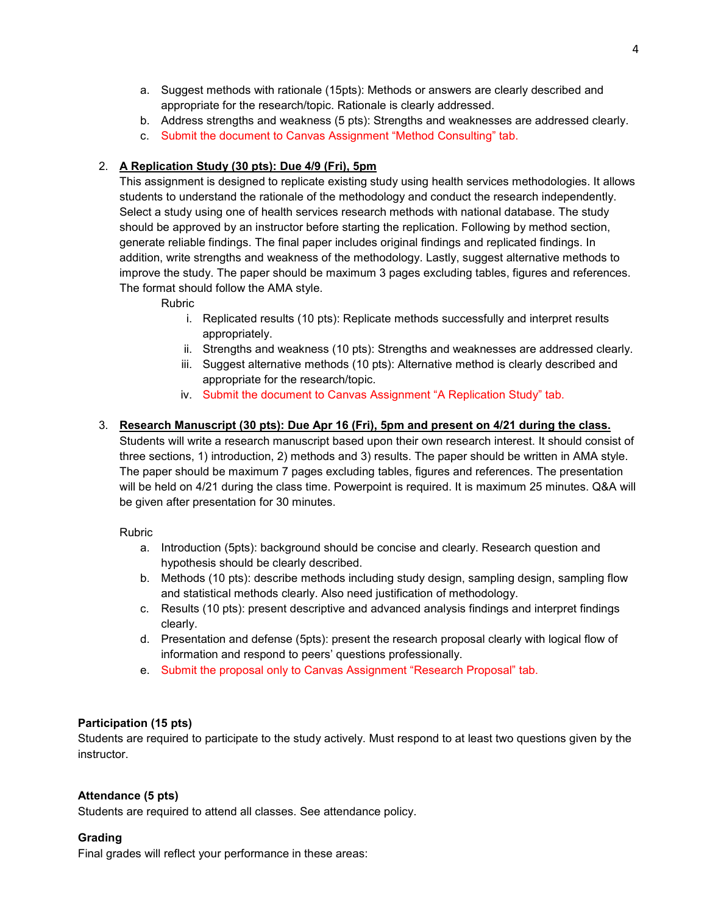- a. Suggest methods with rationale (15pts): Methods or answers are clearly described and appropriate for the research/topic. Rationale is clearly addressed.
- b. Address strengths and weakness (5 pts): Strengths and weaknesses are addressed clearly.
- c. Submit the document to Canvas Assignment "Method Consulting" tab.

## 2. **A Replication Study (30 pts): Due 4/9 (Fri), 5pm**

This assignment is designed to replicate existing study using health services methodologies. It allows students to understand the rationale of the methodology and conduct the research independently. Select a study using one of health services research methods with national database. The study should be approved by an instructor before starting the replication. Following by method section, generate reliable findings. The final paper includes original findings and replicated findings. In addition, write strengths and weakness of the methodology. Lastly, suggest alternative methods to improve the study. The paper should be maximum 3 pages excluding tables, figures and references. The format should follow the AMA style.

Rubric

- i. Replicated results (10 pts): Replicate methods successfully and interpret results appropriately.
- ii. Strengths and weakness (10 pts): Strengths and weaknesses are addressed clearly.
- iii. Suggest alternative methods (10 pts): Alternative method is clearly described and appropriate for the research/topic.
- iv. Submit the document to Canvas Assignment "A Replication Study" tab.

## 3. **Research Manuscript (30 pts): Due Apr 16 (Fri), 5pm and present on 4/21 during the class.**

Students will write a research manuscript based upon their own research interest. It should consist of three sections, 1) introduction, 2) methods and 3) results. The paper should be written in AMA style. The paper should be maximum 7 pages excluding tables, figures and references. The presentation will be held on 4/21 during the class time. Powerpoint is required. It is maximum 25 minutes. Q&A will be given after presentation for 30 minutes.

Rubric

- a. Introduction (5pts): background should be concise and clearly. Research question and hypothesis should be clearly described.
- b. Methods (10 pts): describe methods including study design, sampling design, sampling flow and statistical methods clearly. Also need justification of methodology.
- c. Results (10 pts): present descriptive and advanced analysis findings and interpret findings clearly.
- d. Presentation and defense (5pts): present the research proposal clearly with logical flow of information and respond to peers' questions professionally.
- e. Submit the proposal only to Canvas Assignment "Research Proposal" tab.

## **Participation (15 pts)**

Students are required to participate to the study actively. Must respond to at least two questions given by the instructor.

## **Attendance (5 pts)**

Students are required to attend all classes. See attendance policy.

## **Grading**

Final grades will reflect your performance in these areas: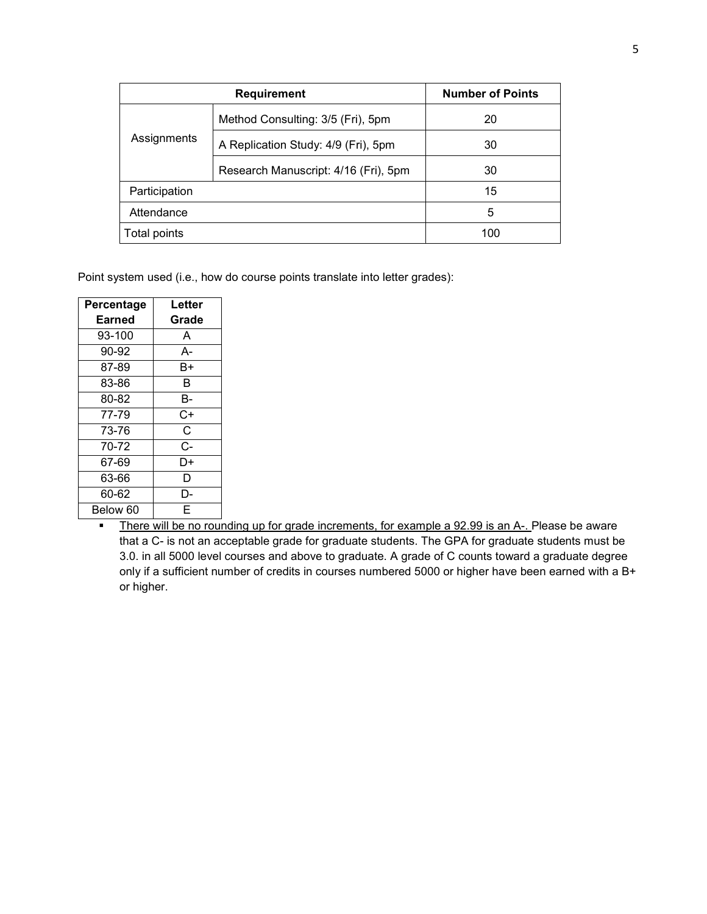|               | <b>Number of Points</b>              |     |
|---------------|--------------------------------------|-----|
| Assignments   | Method Consulting: 3/5 (Fri), 5pm    | 20  |
|               | A Replication Study: 4/9 (Fri), 5pm  | 30  |
|               | Research Manuscript: 4/16 (Fri), 5pm | 30  |
| Participation |                                      | 15  |
| Attendance    |                                      | 5   |
| Total points  |                                      | 100 |

Point system used (i.e., how do course points translate into letter grades):

| Percentage | Letter |
|------------|--------|
| Earned     | Grade  |
| 93-100     | A      |
| 90-92      | А-     |
| 87-89      | B+     |
| 83-86      | R      |
| 80-82      | В-     |
| 77-79      | C+     |
| 73-76      | C      |
| 70-72      | C-     |
| 67-69      | D+     |
| 63-66      | D      |
| 60-62      | D-     |
| Below 60   | F      |

There will be no rounding up for grade increments, for example a 92.99 is an A-. Please be aware that a C- is not an acceptable grade for graduate students. The GPA for graduate students must be 3.0. in all 5000 level courses and above to graduate. A grade of C counts toward a graduate degree only if a sufficient number of credits in courses numbered 5000 or higher have been earned with a B+ or higher.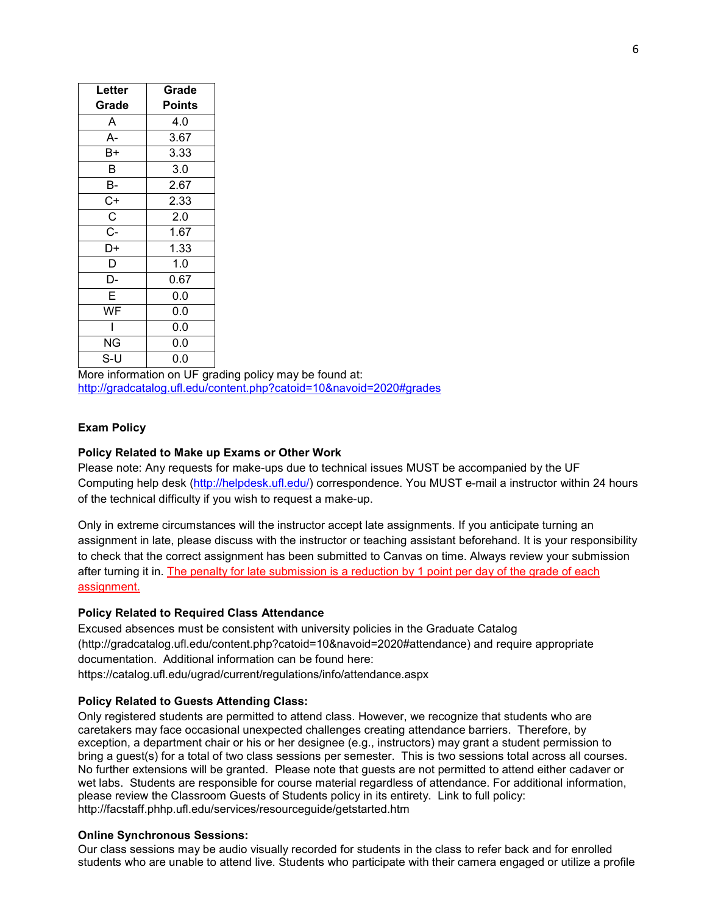| Letter                | Grade  |
|-----------------------|--------|
| Grade                 | Points |
| A                     | 4.0    |
| A-                    | 3.67   |
| B+                    | 3.33   |
| B                     | 3.0    |
| В-                    | 2.67   |
| C+                    | 2.33   |
| $\overline{\text{c}}$ | 2.0    |
| $\overline{C}$ -      | 1.67   |
| D+                    | 1.33   |
| D                     | 1.0    |
| D-                    | 0.67   |
| E                     | 0.0    |
| WF                    | 0.0    |
|                       | 0.0    |
| ΝG                    | 0.0    |
| S-U                   | 0.0    |

More information on UF grading policy may be found at: <http://gradcatalog.ufl.edu/content.php?catoid=10&navoid=2020#grades>

### **Exam Policy**

#### **Policy Related to Make up Exams or Other Work**

Please note: Any requests for make-ups due to technical issues MUST be accompanied by the UF Computing help desk [\(http://helpdesk.ufl.edu/\)](http://helpdesk.ufl.edu/) correspondence. You MUST e-mail a instructor within 24 hours of the technical difficulty if you wish to request a make-up.

Only in extreme circumstances will the instructor accept late assignments. If you anticipate turning an assignment in late, please discuss with the instructor or teaching assistant beforehand. It is your responsibility to check that the correct assignment has been submitted to Canvas on time. Always review your submission after turning it in. The penalty for late submission is a reduction by 1 point per day of the grade of each assignment.

#### **Policy Related to Required Class Attendance**

Excused absences must be consistent with university policies in the Graduate Catalog (http://gradcatalog.ufl.edu/content.php?catoid=10&navoid=2020#attendance) and require appropriate documentation. Additional information can be found here:

https://catalog.ufl.edu/ugrad/current/regulations/info/attendance.aspx

#### **Policy Related to Guests Attending Class:**

Only registered students are permitted to attend class. However, we recognize that students who are caretakers may face occasional unexpected challenges creating attendance barriers. Therefore, by exception, a department chair or his or her designee (e.g., instructors) may grant a student permission to bring a guest(s) for a total of two class sessions per semester. This is two sessions total across all courses. No further extensions will be granted. Please note that guests are not permitted to attend either cadaver or wet labs. Students are responsible for course material regardless of attendance. For additional information, please review the Classroom Guests of Students policy in its entirety. Link to full policy: http://facstaff.phhp.ufl.edu/services/resourceguide/getstarted.htm

#### **Online Synchronous Sessions:**

Our class sessions may be audio visually recorded for students in the class to refer back and for enrolled students who are unable to attend live. Students who participate with their camera engaged or utilize a profile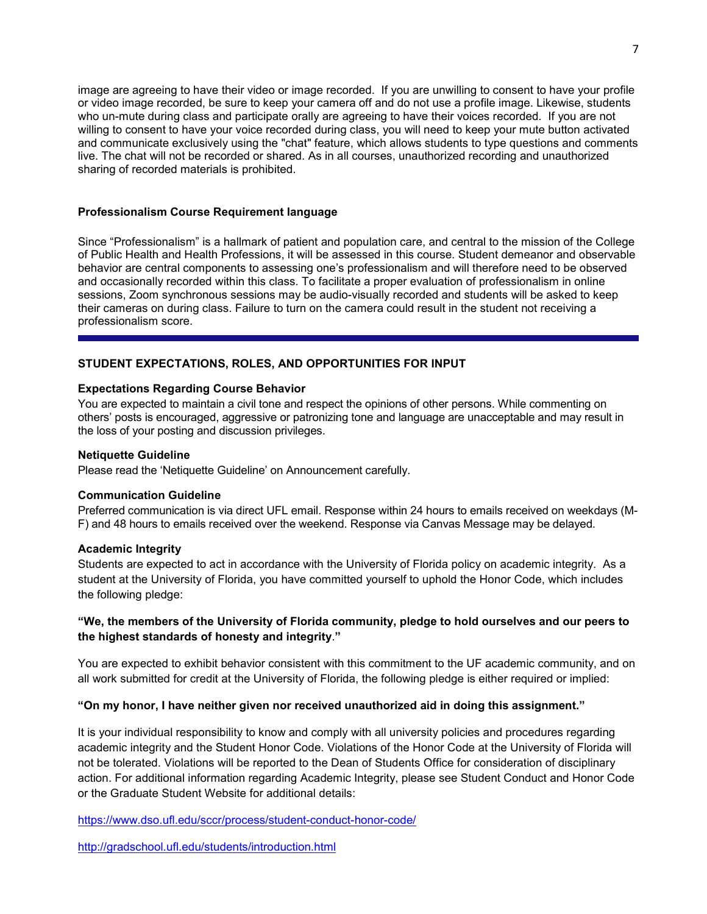image are agreeing to have their video or image recorded. If you are unwilling to consent to have your profile or video image recorded, be sure to keep your camera off and do not use a profile image. Likewise, students who un-mute during class and participate orally are agreeing to have their voices recorded. If you are not willing to consent to have your voice recorded during class, you will need to keep your mute button activated and communicate exclusively using the "chat" feature, which allows students to type questions and comments live. The chat will not be recorded or shared. As in all courses, unauthorized recording and unauthorized sharing of recorded materials is prohibited.

#### **Professionalism Course Requirement language**

Since "Professionalism" is a hallmark of patient and population care, and central to the mission of the College of Public Health and Health Professions, it will be assessed in this course. Student demeanor and observable behavior are central components to assessing one's professionalism and will therefore need to be observed and occasionally recorded within this class. To facilitate a proper evaluation of professionalism in online sessions, Zoom synchronous sessions may be audio-visually recorded and students will be asked to keep their cameras on during class. Failure to turn on the camera could result in the student not receiving a professionalism score.

## **STUDENT EXPECTATIONS, ROLES, AND OPPORTUNITIES FOR INPUT**

### **Expectations Regarding Course Behavior**

You are expected to maintain a civil tone and respect the opinions of other persons. While commenting on others' posts is encouraged, aggressive or patronizing tone and language are unacceptable and may result in the loss of your posting and discussion privileges.

#### **Netiquette Guideline**

Please read the 'Netiquette Guideline' on Announcement carefully.

## **Communication Guideline**

Preferred communication is via direct UFL email. Response within 24 hours to emails received on weekdays (M-F) and 48 hours to emails received over the weekend. Response via Canvas Message may be delayed.

## **Academic Integrity**

Students are expected to act in accordance with the University of Florida policy on academic integrity. As a student at the University of Florida, you have committed yourself to uphold the Honor Code, which includes the following pledge:

## **"We, the members of the University of Florida community, pledge to hold ourselves and our peers to the highest standards of honesty and integrity**.**"**

You are expected to exhibit behavior consistent with this commitment to the UF academic community, and on all work submitted for credit at the University of Florida, the following pledge is either required or implied:

## **"On my honor, I have neither given nor received unauthorized aid in doing this assignment."**

It is your individual responsibility to know and comply with all university policies and procedures regarding academic integrity and the Student Honor Code. Violations of the Honor Code at the University of Florida will not be tolerated. Violations will be reported to the Dean of Students Office for consideration of disciplinary action. For additional information regarding Academic Integrity, please see Student Conduct and Honor Code or the Graduate Student Website for additional details:

<https://www.dso.ufl.edu/sccr/process/student-conduct-honor-code/>

<http://gradschool.ufl.edu/students/introduction.html>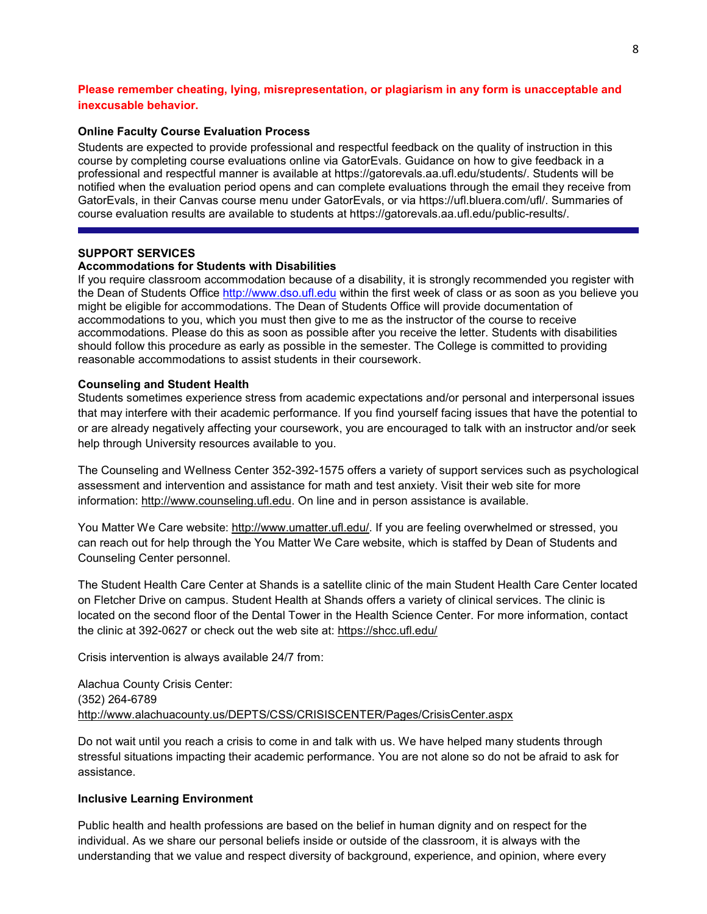## **Please remember cheating, lying, misrepresentation, or plagiarism in any form is unacceptable and inexcusable behavior.**

#### **Online Faculty Course Evaluation Process**

Students are expected to provide professional and respectful feedback on the quality of instruction in this course by completing course evaluations online via GatorEvals. Guidance on how to give feedback in a professional and respectful manner is available at https://gatorevals.aa.ufl.edu/students/. Students will be notified when the evaluation period opens and can complete evaluations through the email they receive from GatorEvals, in their Canvas course menu under GatorEvals, or via https://ufl.bluera.com/ufl/. Summaries of course evaluation results are available to students at https://gatorevals.aa.ufl.edu/public-results/.

#### **SUPPORT SERVICES**

#### **Accommodations for Students with Disabilities**

If you require classroom accommodation because of a disability, it is strongly recommended you register with the Dean of Students Office [http://www.dso.ufl.edu](http://www.dso.ufl.edu/) within the first week of class or as soon as you believe you might be eligible for accommodations. The Dean of Students Office will provide documentation of accommodations to you, which you must then give to me as the instructor of the course to receive accommodations. Please do this as soon as possible after you receive the letter. Students with disabilities should follow this procedure as early as possible in the semester. The College is committed to providing reasonable accommodations to assist students in their coursework.

#### **Counseling and Student Health**

Students sometimes experience stress from academic expectations and/or personal and interpersonal issues that may interfere with their academic performance. If you find yourself facing issues that have the potential to or are already negatively affecting your coursework, you are encouraged to talk with an instructor and/or seek help through University resources available to you.

The Counseling and Wellness Center 352-392-1575 offers a variety of support services such as psychological assessment and intervention and assistance for math and test anxiety. Visit their web site for more information: [http://www.counseling.ufl.edu.](http://www.counseling.ufl.edu/) On line and in person assistance is available.

You Matter We Care website: [http://www.umatter.ufl.edu/.](http://www.umatter.ufl.edu/) If you are feeling overwhelmed or stressed, you can reach out for help through the You Matter We Care website, which is staffed by Dean of Students and Counseling Center personnel.

The Student Health Care Center at Shands is a satellite clinic of the main Student Health Care Center located on Fletcher Drive on campus. Student Health at Shands offers a variety of clinical services. The clinic is located on the second floor of the Dental Tower in the Health Science Center. For more information, contact the clinic at 392-0627 or check out the web site at: <https://shcc.ufl.edu/>

Crisis intervention is always available 24/7 from:

Alachua County Crisis Center: (352) 264-6789 <http://www.alachuacounty.us/DEPTS/CSS/CRISISCENTER/Pages/CrisisCenter.aspx>

Do not wait until you reach a crisis to come in and talk with us. We have helped many students through stressful situations impacting their academic performance. You are not alone so do not be afraid to ask for assistance.

#### **Inclusive Learning Environment**

Public health and health professions are based on the belief in human dignity and on respect for the individual. As we share our personal beliefs inside or outside of the classroom, it is always with the understanding that we value and respect diversity of background, experience, and opinion, where every